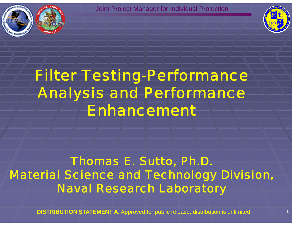



# Filter Testing-Performance Analysis and Performance Enhancement

### Thomas E. Sutto, Ph.D. Material Science and Technology Division, Naval Research Laboratory

**DISTRIBUTION STATEMENT A.** Approved for public release; distribution is unlimited. 11 11 11 11 11 11 11 11 11 1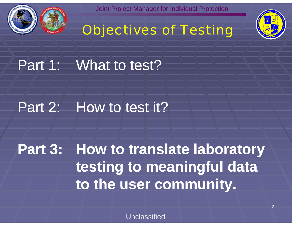





Part 1: What to test?

# Part 2: How to test it?

**Part 3: How to translate laboratory testing to meaningful data meaningful to the user community.**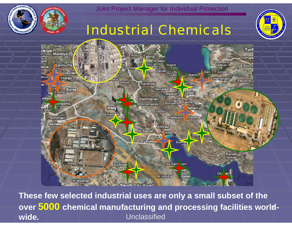

# Industrial Chemicals





These few selected industrial uses are only a small subset of the Unclassified over 5000 chemical manufacturing and processing facilities world**wide.**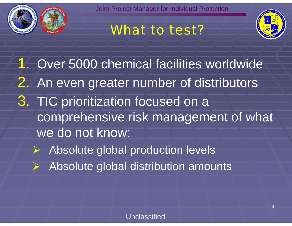



4

What to test?

1. Over 5000 chemical facilities worldwide 2. An even greater number of distributors 3. TIC prioritization focused on a comprehensive risk management of what we do not know:

- ¾ Absolute global production levels
- ¾ Absolute global distribution amounts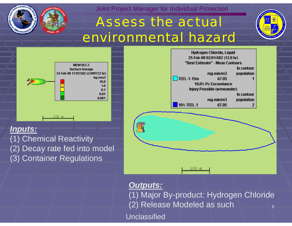

# Assess the actual environmental hazard





#### *Inputs:*

(1) Chemical Reactivity (2) Decay rate fed into model (3) Container Regulations



#### *Outputs:*

(1) Major By-product: Hydrogen Chloride 5(2) Release Modeled as such

Unclassified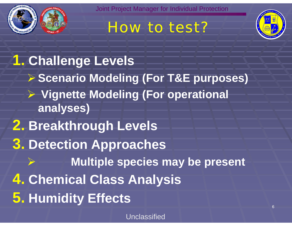

# How to test?



**1. Challenge Levels** ¾ **Scenario Modeling (For T&E purposes)** ¾ **Vignette Modeling (For operational anal y ) ses 2. Breakthrough Levels 3 . D t ti A h e tection Approac hes** ¾ $\triangleright$  **Multiple species may be present 4. Chemical Class Analysis 5. Humidity Effects**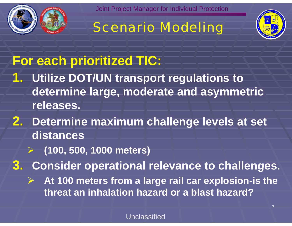





7

# **For each prioritized TIC:**

- **1. Utilize DOT/UN transport regulations to determine large, moderate and asymmetric releases.**
- **2. Determine maximum challenge levels at set distances**
	- ¾ **(100, 500, 1000 meters)**

**3 . Consider operational relevance to challenges .**

¾ **At 100 meters from a large rail car explosion-is the threat an inhalation hazard or a blast hazard?**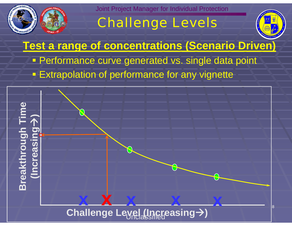

# Challenge Levels



**Test a range of concentrations (Scenario Driven)** • Performance curve generated vs. single data point **Extrapolation of performance for any vignette** 

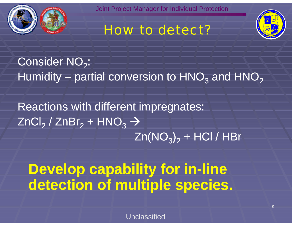

# How to detect?



Consider NO $_2^{\cdot}$ : Humidity – partial conversion to  $\mathsf{HNO}_3$  and  $\mathsf{HNO}_2$ 

Reactions with different impre gnates: ZnCl $_2$  / ZnBr $_2$  +  ${\sf HNO}_3$   $\rightarrow$  $\mathsf{Zn}(\mathsf{NO}_3\mathsf{)}_2$  + HCl / HBr

**Develop capability for in capability -line detection of multiple species.**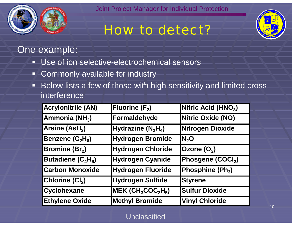

# How to detect?



#### One example:

- Use of ion selective-electrochemical sensors
- Commonly available for industry
- **EXTERS IN A KERV III SENSTER** FIGURE **BELOW** By Sensitivity and limited cross interference

| <b>Acrylonitrile (AN)</b>   | <b>Fluorine (F<sub>2</sub>)</b>                          | Nitric Acid (HNO <sub>3</sub> ) |
|-----------------------------|----------------------------------------------------------|---------------------------------|
| Ammonia (NH <sub>3</sub> )  | Formaldehyde                                             | <b>Nitric Oxide (NO)</b>        |
| Arsine $(ASH3)$             | Hydrazine $(N_2H_4)$                                     | Nitrogen Dioxide                |
| Benzene $(C_2H_6)$          | <b>Hydrogen Bromide</b>                                  | $IN_{2}O$                       |
| <b>Bromine (Br2)</b>        | <b>Hydrogen Chloride</b>                                 | Ozone $(O_3)$                   |
| Butadiene $(C_4H_6)$        | <b>Hydrogen Cyanide</b>                                  | Phosgene (COCI <sub>2</sub> )   |
| <b>Carbon Monoxide</b>      | <b>Hydrogen Fluoride</b>                                 | Phosphine (Ph <sub>3</sub> )    |
| Chlorine (Cl <sub>2</sub> ) | <b>Hydrogen Sulfide</b>                                  | <b>Styrene</b>                  |
| <b>Cyclohexane</b>          | $MEK$ (CH <sub>3</sub> COC <sub>2</sub> H <sub>5</sub> ) | <b>Sulfur Dioxide</b>           |
| <b>Ethylene Oxide</b>       | <b>Methyl Bromide</b>                                    | <b>Vinyl Chloride</b>           |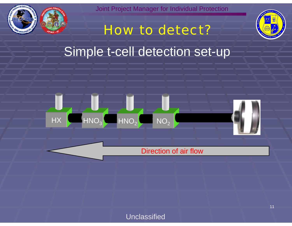

# How to detect?



## Sim ple t-cell detection set-u p



#### Direction of air flow

#### Unclassified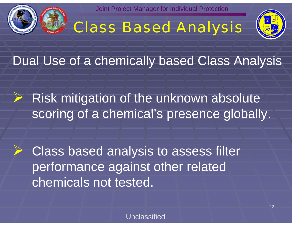

# Class Based Analysis



Dual Use of a chemically based Class Analysis

 $\triangleright$  Risk mitigation of the unknown absolute scoring of a chemical's presence globally.

¾ Class based analysis to assess filter performance against other related chemicals not tested.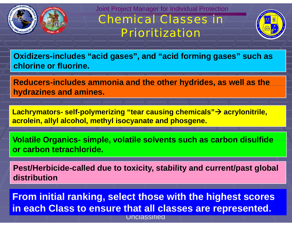

Joint Project Manager for Individual Protection Chemical Classes in

Prioritization



Oxidizers-includes "acid gases", and "acid forming gases" such as **chlorine or fluorine.**

**Reducers-includes ammonia and the other h ydrides, as well as the y , hydrazines and amines.**

**Lachrymators - self -polymerizing "tear causing chemicals "g "tear causing chemicals"→ acrylonitrile, acrolein, allyl alcohol, methyl isocyanate and phosgene.**

**Volatile Organics simple volatile solvents such as carbon disulfide simple, or carbon tetrachloride.** 

Pest/Herbicide-called due to toxicity, stability and current/past global **distribution**

**From initial ranking select those with the highest scores ranking,**  Unclassified**in each Class to ensure that all classes are represented.**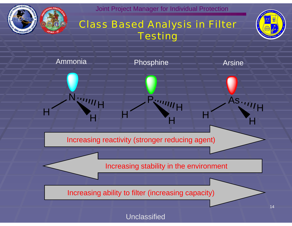

### Class Based Analysis in Filter **Testing**



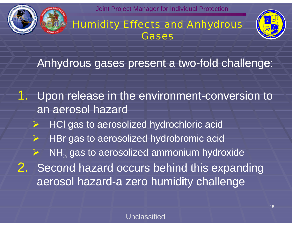

Humidity Effects and Anhydrous **Gases** 



Anhydrous gases present a two-fold challenge:

1. Upon release in the environment-conversion to an aerosol hazard ¾ HCl gas to aerosolized hydrochloric acid ¾ HBr gas to aerosolized hydrobromic acid ¾ $\triangleright$  NH<sub>3</sub> gas to aerosolized ammonium hydroxide 2. Second hazard occurs behind this expanding aerosol hazard-a zero humidity challenge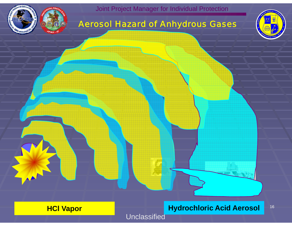

#### Aerosol Hazard of Anhydrous Gases



16

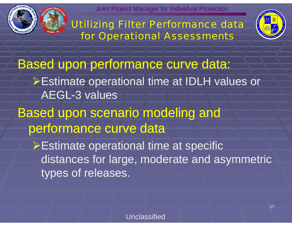

Utilizing Filter Performance data for Operational Assessments



Based upon performance curve data: ¾Estimate o perational time at IDLH values or AEGL-3 values

Based upon scenario modeling and performance curve data

**≻Estimate operational time at specific** distances for large, moderate and asymmetric types of releases.